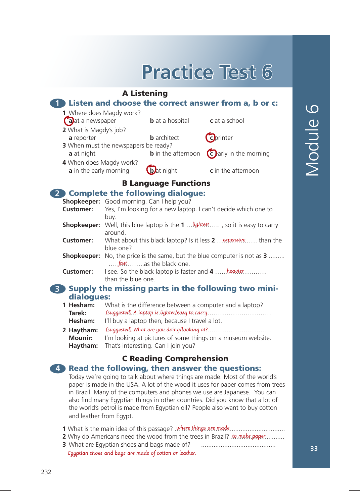# **Practice Test 6**

## A Listening **1** Listen and choose the correct answer from a, b or c: **1** Where does Magdy work? **a a a** hospital **c** at a school **2** What is Magdy's job? **a** reporter **b** architect **c** printer **3** When must the newspapers be ready? **a** at night **b** in the afternoon **c** early in the morning **4** When does Magdy work? **a** in the early morning **b** at night **c** in the afternoon B Language Functions **2** Complete the following dialogue: **Shopkeeper:** Good morning. Can I help you? **Customer:** Yes, I'm looking for a new laptop. I can't decide which one to buy. **Shopkeeper:** Well, this blue laptop is the **1** . . *lightest* ... . , so it is easy to carry around. **Customer:** What about this black laptop? Is it less 2 ... expensive..... than the blue one? **Shopkeeper:** No, the price is the same, but the blue computer is not as **3** ........ ..... fast ........as the black one. **Customer:** I see. So the black laptop is faster and **4** .....heavier.......... than the blue one. **3** Supply the missing parts in the following two mini**dialogues:**<br>1 Hesham: W

- **1 Hesham:** What is the difference between a computer and a laptop? **Tarek:** …………………………………………………………………… (suggested) A laptop is lighter/easy to carry. Hesham: I'll buy a laptop then, because I travel a lot.
- **2 Haytham:** ……………………………………………………………………. (suggested) What are you doing/looking at? **Mounir:** I'm looking at pictures of some things on a museum website. **Haytham:** That's interesting. Can I join you?

# C Reading Comprehension

### **4** Read the following, then answer the questions:

Today we're going to talk about where things are made. Most of the world's paper is made in the USA. A lot of the wood it uses for paper comes from trees in Brazil. Many of the computers and phones we use are Japanese. You can also find many Egyptian things in other countries. Did you know that a lot of the world's petrol is made from Egyptian oil? People also want to buy cotton and leather from Egypt.

- **1** What is the main idea of this passage? where things are made ...................................
- **2** Why do Americans need the wood from the trees in Brazil? to make paper..........
- **3** What are Egyptian shoes and bags made of? ..........................................
	- Egyptian shoes and bags are made of cotton or leather.

**33**